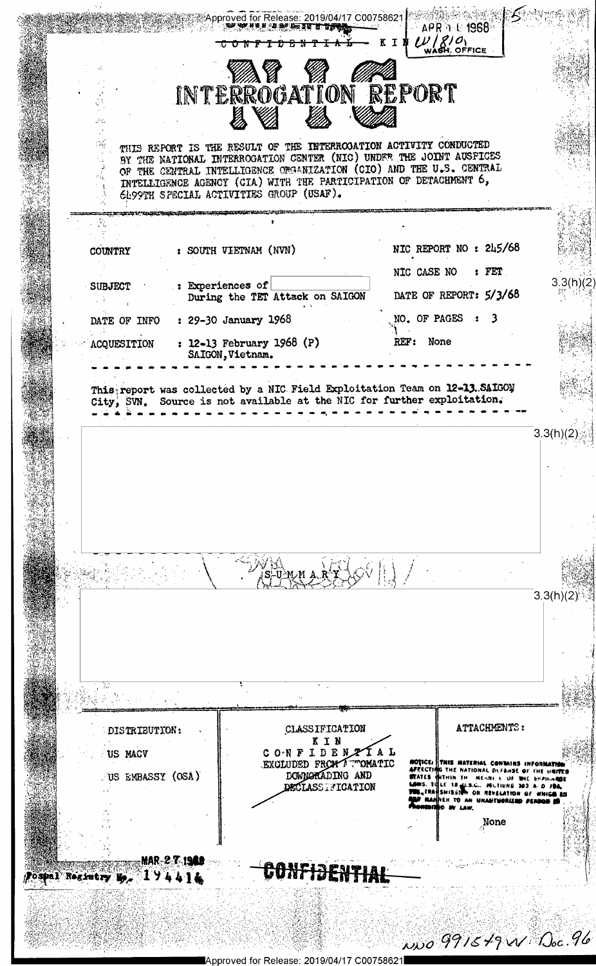Approved for Release: 2019/04/17 C00758621 APR 1 C 1968  $U/\ell/O$ INTERROGATION REPORT THIS REPORT IS THE RESULT OF THE INTERROOATION ACTIVITY CONDUCTED BY THE NATIONAL INTERROGATION CENTER (NIC) UNDER THE JOINT AUSPICES OF THE CENTRAL INTELLIGENCE ORGANIZATION (CIO) AND THE U.S. CENTRAL INTELLIGENCE AGENCY (GIA) WITH THE PARTICIPATION OF DETACHMENT 6, 6h99TH SPECIAL ACTIVITIES GROUP (USAF). , W NIC REPORT NO : 245/68 : SOUTH VIETNAM (NVN) COUNTRY NIC CASE NO  $:$  FET  $3.3(h)(2)$ : Experiences of **SUBJECT** DATE OF REPORT: 5/3/68 During the TET Attack on SAIGON  $\sim 10$ NO. OF PAGES : : 29-30 January 1968  $\overline{\mathbf{3}}$ DATE OF INFO : 12-13 February 1968 (P) REF: None ACQUESITION SAIGON, Vietnam. This report was collected by a NIC Field Exploitation Team on 12-13. SAIGON City, SVN. Source is not available at the NIC for further exploitation.  $3.3(h)(2)$ 臨済部  $3.3(h)(2)$ ATTACHMENTS: CLASSIFICATION DISTRIBUTION: KIN CONFIDENTAL US MACV **ROTICE:** THIS MATERIAL CONTAINS INFORMATION<br>AFFECTING THE NATIONAL DEFENSE OF THE UNITED<br>STATES WITHIN THE MENN, C OF THE SPALLANDE<br>LOWS. THEE 18 LES.C.. FELTIUNS 203 A. D JOA,<br>THE TRANSISSION ON REVEALERING OF WHICH SAND EXCLUDED FROM A WOMATIC DOWNORADING AND US EMBASSY (OSA) **DECLASS FIGATION** NER TO AN UNANTWORIZED **W. LAW.** None **MAR-2-7-1960** <del>CONFIDENTIAL</del> Postal Registry  $y_p = 1$  ) 4414 Wo 991649 W Doc. 96 Approved for Release: 2019/04/17 C00758621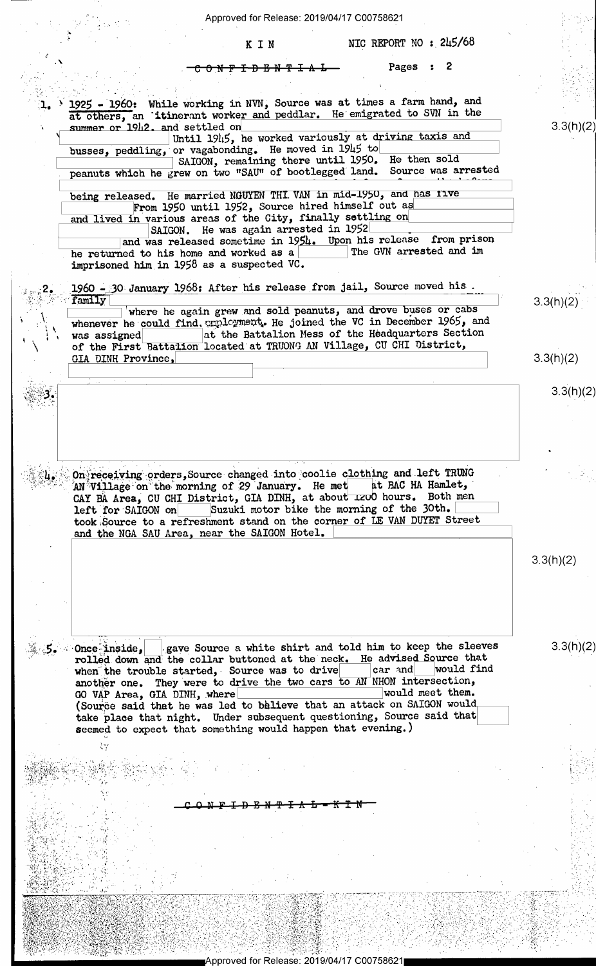Approved for Release: 2019/04/17 C00758621

~

ъ.

 $\cdot$   $\cdot$ 

Iv

3,

J'2 s, 1990 a 1990 a 1990 a 1990 a 1991 a 1992 a 1992 a 1992 a 1992 a 1992 a 1992 a 1992 a 1992 a 1992 a 1992<br>December 1992 a 1992 a 1992 a 1992 a 1992 a 1992 a 1992 a 1992 a 1992 a 1992 a 1992 a 1992 a 1992 a 1992 a 199

 $\sim$ 

K I N  $NIC$  REPORT NO :  $245/68$ 

 $\sqrt{2}$ \_ \_, Pages : <sup>2</sup>

 $\mathcal{L}_{1}$ . 1925 - 1960: While working in NVN, Source was at times a farm hand, and  $\mathcal{L}_{2}$ at others, an 'itinerant worker and peddlar. He emigrated to SVN in the <sup>N</sup><1 settled od » —  $3.3(h)(2)$ Until 1945, he worked variously at driving taxis and busses, peddling, or vagabonding. He moved in 1945 to the most sold SAIGON, remaining there until 1950. He then sold SAIGON, remaining there until 1950. He then sold  $\frac{1}{4}$  peanuts which he grew on two "SAU" of bootlegged land. Source was arrested being released. He married NGUYEN THI VAN in mid-1950, and has five From 1950 until 1952, Source hired himself out as and lived in various areas of the City, finally settling on SAIGON. He was again arrested in 1952 SAIGON. He was again arrested in 1952<br>
and was released sometime in 1954. Upon his release from prison he returned to his home and worked as a The GVN arrested and im imprisoned him in 1958 as a suspected VC. §;w£2E-J-1960 és O-January 1968: After his release from jail, Source moved his . ». ;;f\*F'-';\*~i"=§\*'I+"ram1'TYi\ J" <sup>N</sup>  $\gamma$  '  $\gamma$  "  $\gamma$  "  $\gamma$  "  $\gamma$  $\frac{1}{\sqrt{2}}$  where he again grew and sold peanuts, and drove buses or cabs  $\frac{3.3(11)(2)}{2}$  $\mathbf{I}$ whenever he could find. employment. He joined the VC in December 1965, and was assigned at the Battalion Mess of the Headquarters Section : \ was assigned[B££Ii]at the Battalion Mess of the Headquarters Section \ \_ \_ - - . of the First a a on located at TRUONG AN Village, CU CHI District, \_ GIA DINH Province,  $3.3(h)(2)$  $\ldots$  .  $\ldots$   $\ldots$   $\ldots$ ,  $\sum_{i=1}^N a_i$  or  $\sum_{i=1}^N a_i$  or  $\sum_{i=1}^N a_i$  or  $\sum_{i=1}^N a_i$  or  $\sum_{i=1}^N a_i$  or  $\sum_{i=1}^N a_i$  or  $\sum_{i=1}^N a_i$  or  $\sum_{i=1}^N a_i$  or  $\sum_{i=1}^N a_i$  or  $\sum_{i=1}^N a_i$  or  $\sum_{i=1}^N a_i$  or  $\sum_{i=1}^N a_i$  or  $\sum_{i=1}^N a_i$  o On receiving orders, Source changed into coolie clothing and left TRUNG AN Village on the morning of 29 January. He met at BAC HA Hamlet, AN<sup>\*</sup>Village on the morning of 29 January. He met CAY BA Area, CU CHI District, GIA DINH, at about 1200 hours. Both men left for SAIGON on Suzuki motor bike the morning of the 30th. took Source to a refreshment stand on the corner of LE VAN DUYET Street and the NGA SAU Area, near the SAIGON Hotel. 3.3(h)(2)  $\mathbb{Z}_p$ §, Once $\frac{1}{2}$ inside,  $\frac{1}{2}$  gave Source a white shirt and told him to keep the sleeves  $15.3(h)(2)$ " rolled down an 'the collar buttoned at the neck. He advised Source that 'o" when the trouble started, Source was to drive another one. They were to drive the two cars to AN NHON intersection, GO VAP Area, GIA DINH, where GO VAP Area, GIA DINH, where  $\sim$  would meet them. (Source said that he was led to believe that an attack on SAIGON would take place that night. Under subsequent questioning, Source said that seemed to expect that something would happen that evening.) <sup>1</sup>M ,  $\ddot{\ }$  . 11..-£7: -Zr - x , ' '  $-1.1/2$  $\sim$   $\sim$ en en de la component de la component de la component de la component de la component de la component de la co '~ . : )' , r, and in the second control of the second control of the second control of the second control of the second c ,ew@<'. - .. =',»~ --  $\mathcal{W} \otimes \mathcal{W} \otimes \mathcal{W} \otimes \mathcal{W} \otimes \mathcal{W} \otimes \mathcal{W} \otimes \mathcal{W} \otimes \mathcal{W} \otimes \mathcal{W} \otimes \mathcal{W} \otimes \mathcal{W} \otimes \mathcal{W} \otimes \mathcal{W} \otimes \mathcal{W} \otimes \mathcal{W} \otimes \mathcal{W} \otimes \mathcal{W} \otimes \mathcal{W} \otimes \mathcal{W} \otimes \mathcal{W} \otimes \mathcal{W} \otimes \mathcal{W} \otimes \mathcal{W} \otimes \mathcal{W} \otimes \mathcal{$ . .\_ . . i-.:~',:-;\_\_f.\_-.\_\_\_;'- which are the substitution for weapth equipped for a the set  $\mathbb{Z}/\mathbb{Z}/\mathbb{Z}/\mathbb{Z}/\mathbb{Z}$  . A 1444-15  $\mathbb{Z}$  $f_1 = \{x_1, x_2, \ldots, x_n\}$  ,  $f_2 = \{x_1, x_2, \ldots, x_n\}$  ,  $f_3 = \{x_1, x_2, \ldots, x_n\}$  ,  $f_4 = \{x_1, x_2, \ldots, x_n\}$ ,\_ ,...\_~\_.. . , -- 4 - - -~ ' " " ' M. \_\_;\_\_\_:\_\$\_'\_'i :.'\_;,..'.\_\_; ::'v\_\_;~\_,.;,.\_';\_x 'Y J\_;.':\_':': **그는 사람이 몇일 부분이 있었다. 이 나는 그리고 있어서 이번 시간이 되어 있었다. 그리고 아니라 아니라 아니라 그는 사람이 되어 있어.** ;,fi.\_\_\_v\_:\_\_\_, l.. , , .\_ ,, ,. . . .. <sup>v</sup>H » , \_ . .. '~ - .. .~-'-1-.--, =1', / .-. -1-' '- -.= " ' -' §¥2-.- <sup>1</sup> £1,/,\.\_.§=\_;y!; :3;-\* \_\_ , {\_ \_.\-1,,-~.:.-.-~.». . . . - . , t. ., . . . <sup>P</sup> \_ 1- ,. '~' \_/-xJ.=-\_.\_~-.;\_»~. :\_v "\_'\_ ,.,'-'  $\mathbb{S}^n$  .  $\mathbb{Z}$  and  $\mathbb{S}^n$ ,  $\ll$  $\mathcal{A} \oplus \mathcal{B} \in \mathbb{R}$  ,  $\mathcal{B} \subset \mathcal{C} \subset \mathcal{C}$  ,  $\mathcal{C} \subset \mathcal{C}$  ,  $\mathcal{C} \subset \mathcal{C}$  ,  $\mathcal{C} \subset \mathcal{C}$  ,  $\mathcal{C} \subset \mathcal{C}$  ,  $\mathcal{C} \subset \mathcal{C}$  ,  $\mathcal{C} \subset \mathcal{C}$  ,  $\mathcal{C} \subset \mathcal{C}$  ,  $\mathcal{C} \subset \mathcal{C}$  ,  $\mathcal{C} \subset \mathcal{C$ » . , x II JAPANG PADA L \_».>.v\_r , =;u;-'.=.-" <.~; =.;\*-~f;\\_'j',; .:.'~'5' 1.1' \_ 'r -= ---  $(1 + 1)$ BI IS A ANN AN A-SAN AN DAIREA ev-bra - To a talente eve ۶, ¢ , V. ,,\_\ r I-xi ¢ 1- "1! ; (\*.<'x.\_\_ 'c /' 'r ; s - .. .- - '. - >.:\_.; ;.J;-1-"' =' " - -' - Y' ' ' ' ' " ' '

pproved for Release: 2019/04/17

=\_\_, . - , -\_ ~.\_ ,.~ <\_\_;.,,-;--N:-.,, \_

' ' -'

.. . <sup>V</sup>

. ~\_ -, - .~ \_- <sup>4</sup>

at l l'altres de l'altres de l'altres.<br>L'altres del l'altres del l'altres del l'altres del l'altres del l'altres del l'altres del l'altres del l'altr

'- : \_